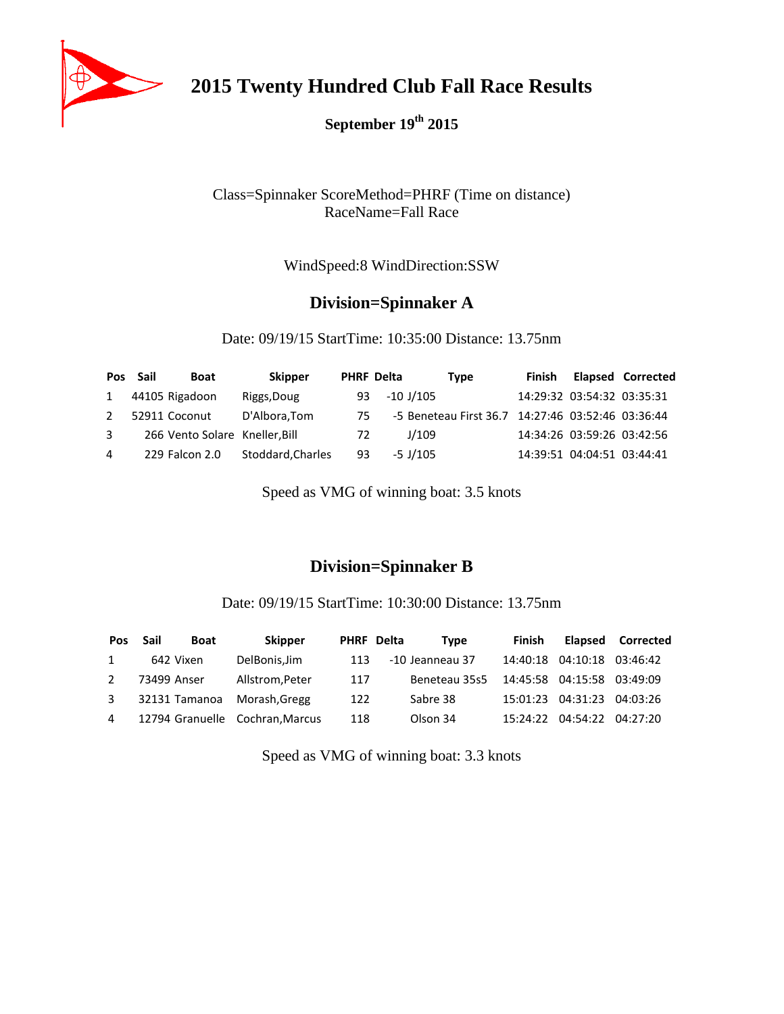

**2015 Twenty Hundred Club Fall Race Results**

**September 19th 2015**

### Class=Spinnaker ScoreMethod=PHRF (Time on distance) RaceName=Fall Race

WindSpeed:8 WindDirection:SSW

# **Division=Spinnaker A**

Date: 09/19/15 StartTime: 10:35:00 Distance: 13.75nm

|              | Pos Sail | <b>Boat</b>                    | <b>Skipper</b>    |    | <b>PHRF Delta</b> | Type                                              | Finish |                            | <b>Elapsed Corrected</b> |
|--------------|----------|--------------------------------|-------------------|----|-------------------|---------------------------------------------------|--------|----------------------------|--------------------------|
| $\mathbf{1}$ |          | 44105 Rigadoon                 | Riggs, Doug       | 93 |                   | -10 J/105                                         |        | 14:29:32 03:54:32 03:35:31 |                          |
| 2            |          | 52911 Coconut                  | D'Albora, Tom     | 75 |                   | -5 Beneteau First 36.7 14:27:46 03:52:46 03:36:44 |        |                            |                          |
| 3            |          | 266 Vento Solare Kneller, Bill |                   | 72 |                   | J/109                                             |        | 14:34:26 03:59:26 03:42:56 |                          |
| 4            |          | 229 Falcon 2.0                 | Stoddard, Charles | 93 |                   | $-5$ J/105                                        |        | 14:39:51 04:04:51 03:44:41 |                          |

Speed as VMG of winning boat: 3.5 knots

# **Division=Spinnaker B**

Date: 09/19/15 StartTime: 10:30:00 Distance: 13.75nm

| <b>Pos</b>     | Sail<br><b>Boat</b> | <b>Skipper</b>                  |     | PHRF Delta<br>Tvpe | <b>Finish</b> |                            | Elapsed Corrected |
|----------------|---------------------|---------------------------------|-----|--------------------|---------------|----------------------------|-------------------|
| 1              | 642 Vixen           | DelBonis, Jim                   | 113 | -10 Jeanneau 37    | 14:40:18      | 04:10:18                   | 03:46:42          |
| $\overline{2}$ | 73499 Anser         | Allstrom, Peter                 | 117 | Beneteau 35s5      |               | 14:45:58 04:15:58 03:49:09 |                   |
| 3              | 32131 Tamanoa       | Morash.Gregg                    | 122 | Sabre 38           |               | 15:01:23 04:31:23          | 04:03:26          |
| $\overline{4}$ |                     | 12794 Granuelle Cochran, Marcus | 118 | Olson 34           | 15:24:22      | 04:54:22                   | 04:27:20          |

Speed as VMG of winning boat: 3.3 knots